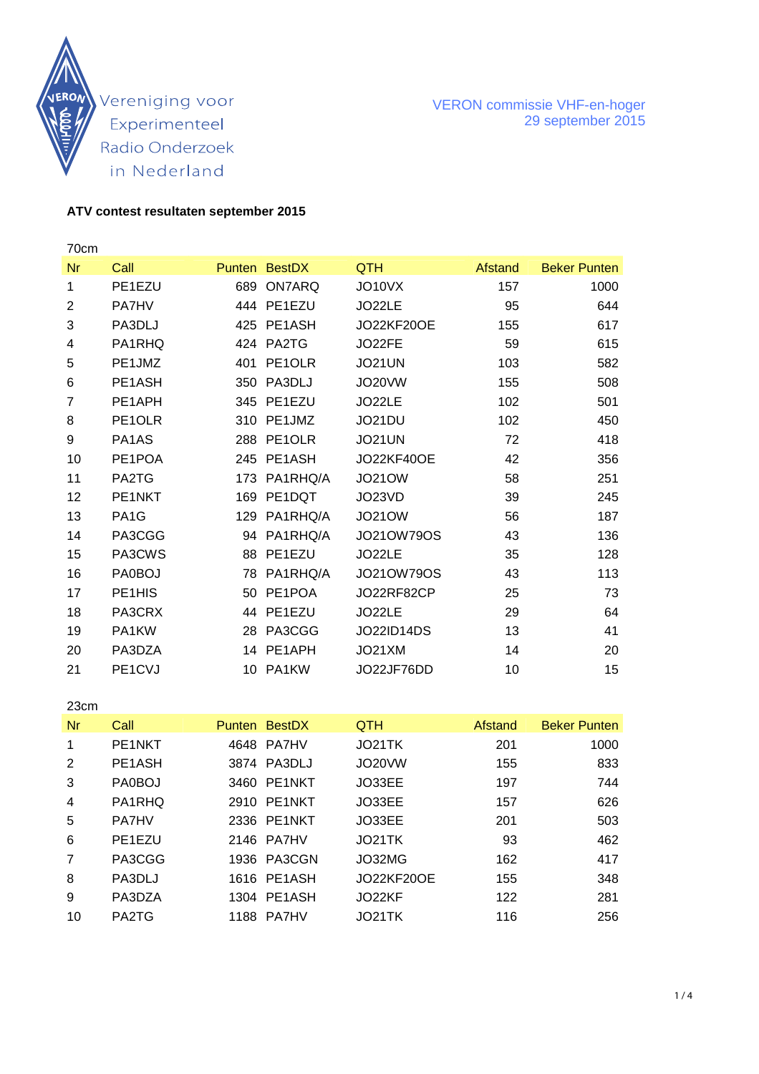

#### **ATV contest resultaten september 2015**

70cm Nr Call **Punten BestDX** QTH Afstand Beker Punten 1 PE1EZU 689 ON7ARQ JO10VX 157 1000 2 PA7HV 444 PE1EZU JO22LE 95 644 3 PA3DLJ 425 PE1ASH JO22KF20OE 155 617 4 PA1RHQ 424 PA2TG JO22FE 59 615 5 PE1JMZ 401 PE1OLR JO21UN 103 582 6 PE1ASH 350 PA3DLJ JO20VW 155 508 7 PE1APH 345 PE1EZU JO22LE 102 501 8 PE1OLR 310 PE1JMZ JO21DU 102 450 9 PA1AS 288 PE1OLR JO21UN 72 418 10 PE1POA 245 PE1ASH JO22KF40OE 42 356 11 PA2TG 173 PA1RHQ/A JO21OW 58 251 12 PE1NKT 169 PE1DQT JO23VD 39 245 13 PA1G 129 PA1RHQ/A JO21OW 56 187 14 PA3CGG 94 PA1RHQ/A JO21OW79OS 43 136 15 PA3CWS 88 PE1EZU JO22LE 35 128 16 PA0BOJ 78 PA1RHQ/A JO21OW79OS 43 113 17 PE1HIS 50 PE1POA JO22RF82CP 25 73 18 PA3CRX 44 PE1EZU JO22LE 29 64 19 PA1KW 28 PA3CGG JO22ID14DS 13 41 20 PA3DZA 14 PE1APH JO21XM 14 20 21 PE1CVJ 10 PA1KW JO22JF76DD 10 15

23cm Nr Call Punten BestDX QTH Afstand Beker Punten 1 PE1NKT 4648 PA7HV JO21TK 201 1000 2 PE1ASH 3874 PA3DLJ JO20VW 155 833 3 PA0BOJ 3460 PE1NKT JO33EE 197 744 4 PA1RHQ 2910 PE1NKT JO33EE 157 626 5 PA7HV 2336 PE1NKT JO33EE 201 503 6 PE1EZU 2146 PA7HV JO21TK 93 462 7 PA3CGG 1936 PA3CGN JO32MG 162 417 8 PA3DLJ 1616 PE1ASH JO22KF20OE 155 348 9 PA3DZA 1304 PE1ASH JO22KF 122 281 10 PA2TG 1188 PA7HV JO21TK 116 256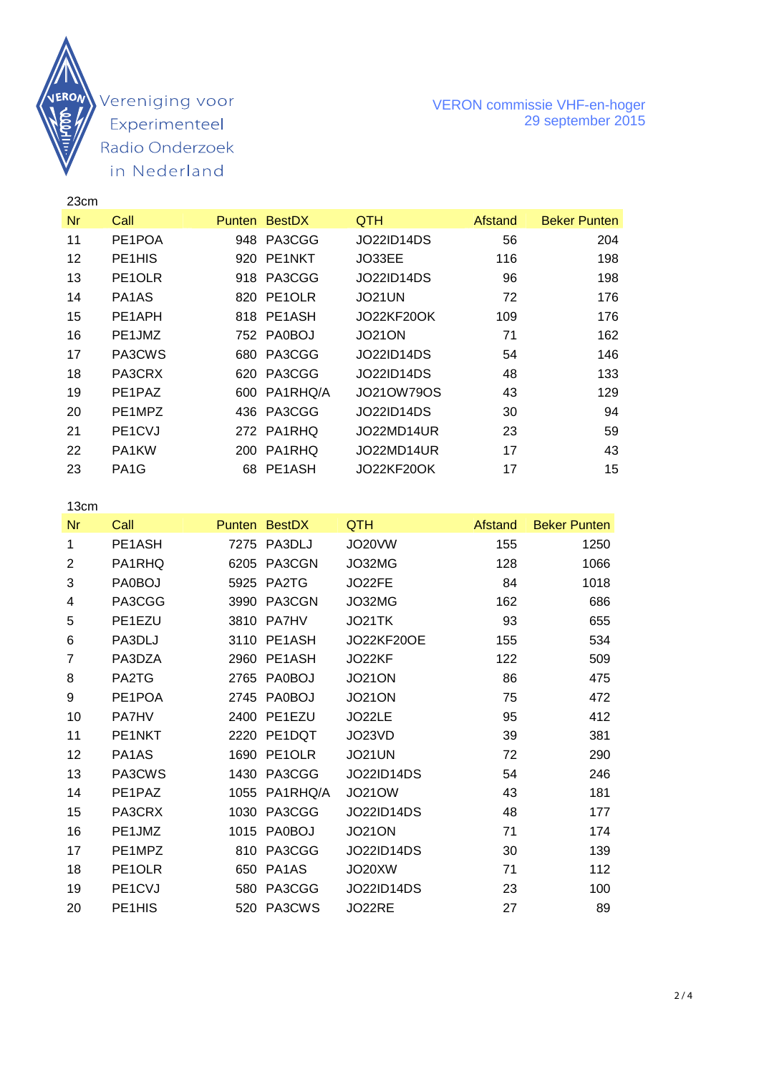

#### VERON commissie VHF-en-hoger 29 september 2015

| 23cm |                                  |      |               |                   |         |                     |
|------|----------------------------------|------|---------------|-------------------|---------|---------------------|
| Nr   | Call                             |      | Punten BestDX | <b>QTH</b>        | Afstand | <b>Beker Punten</b> |
| 11   | PE1POA                           |      | 948 PA3CGG    | JO22ID14DS        | 56      | 204                 |
| 12   | PE <sub>1</sub> H <sub>IS</sub>  |      | 920 PE1NKT    | JO33EE            | 116     | 198                 |
| 13   | PE1OLR                           |      | 918 PA3CGG    | JO22ID14DS        | 96      | 198                 |
| 14   | PA <sub>1</sub> A <sub>S</sub>   |      | 820 PE1OLR    | JO21UN            | 72      | 176                 |
| 15   | PE1APH                           |      | 818 PE1ASH    | <b>JO22KF20OK</b> | 109     | 176                 |
| 16   | PE1JMZ                           |      | 752 PA0BOJ    | <b>JO21ON</b>     | 71      | 162                 |
| 17   | PA3CWS                           |      | 680 PA3CGG    | JO22ID14DS        | 54      | 146                 |
| 18   | PA3CRX                           | 620. | PA3CGG        | JO22ID14DS        | 48      | 133                 |
| 19   | PE <sub>1</sub> P <sub>AZ</sub>  |      | 600 PA1RHQ/A  | JO21OW79OS        | 43      | 129                 |
| 20   | PE1MPZ                           |      | 436 PA3CGG    | JO22ID14DS        | 30      | 94                  |
| 21   | PE <sub>1</sub> C <sub>V</sub> J |      | 272 PA1RHQ    | JO22MD14UR        | 23      | 59                  |
| 22   | PA <sub>1</sub> KW               | 200  | PA1RHQ        | JO22MD14UR        | 17      | 43                  |
| 23   | PA <sub>1</sub> G                |      | 68 PE1ASH     | JO22KF20OK        | 17      | 15                  |
|      |                                  |      |               |                   |         |                     |

13cm

| Nr | Call                           |      | Punten BestDX | QTH               | Afstand | <b>Beker Punten</b> |
|----|--------------------------------|------|---------------|-------------------|---------|---------------------|
| 1  | PE1ASH                         |      | 7275 PA3DLJ   | JO20VW            | 155     | 1250                |
| 2  | PA1RHQ                         |      | 6205 PA3CGN   | JO32MG            | 128     | 1066                |
| 3  | PA0BOJ                         |      | 5925 PA2TG    | JO22FE            | 84      | 1018                |
| 4  | PA3CGG                         | 3990 | PA3CGN        | JO32MG            | 162     | 686                 |
| 5  | PE <sub>1</sub> EZU            |      | 3810 PA7HV    | JO21TK            | 93      | 655                 |
| 6  | PA3DLJ                         |      | 3110 PE1ASH   | <b>JO22KF20OE</b> | 155     | 534                 |
| 7  | PA3DZA                         |      | 2960 PE1ASH   | JO22KF            | 122     | 509                 |
| 8  | PA2TG                          |      | 2765 PA0BOJ   | <b>JO21ON</b>     | 86      | 475                 |
| 9  | PE1POA                         |      | 2745 PA0BOJ   | <b>JO21ON</b>     | 75      | 472                 |
| 10 | <b>PA7HV</b>                   | 2400 | PE1EZU        | JO22LE            | 95      | 412                 |
| 11 | PE1NKT                         |      | 2220 PE1DQT   | JO23VD            | 39      | 381                 |
| 12 | PA <sub>1</sub> A <sub>S</sub> | 1690 | PE1OLR        | JO21UN            | 72      | 290                 |
| 13 | PA3CWS                         |      | 1430 PA3CGG   | <b>JO22ID14DS</b> | 54      | 246                 |
| 14 | PE1PAZ                         | 1055 | PA1RHQ/A      | <b>JO21OW</b>     | 43      | 181                 |
| 15 | PA3CRX                         |      | 1030 PA3CGG   | <b>JO22ID14DS</b> | 48      | 177                 |
| 16 | PE1JMZ                         | 1015 | <b>PA0BOJ</b> | <b>JO21ON</b>     | 71      | 174                 |
| 17 | PE1MPZ                         |      | 810 PA3CGG    | <b>JO22ID14DS</b> | 30      | 139                 |
| 18 | PE <sub>10</sub> LR            |      | 650 PA1AS     | JO20XW            | 71      | 112                 |
| 19 | PE1CVJ                         |      | 580 PA3CGG    | <b>JO22ID14DS</b> | 23      | 100                 |
| 20 | PE1HIS                         | 520  | PA3CWS        | JO22RE            | 27      | 89                  |
|    |                                |      |               |                   |         |                     |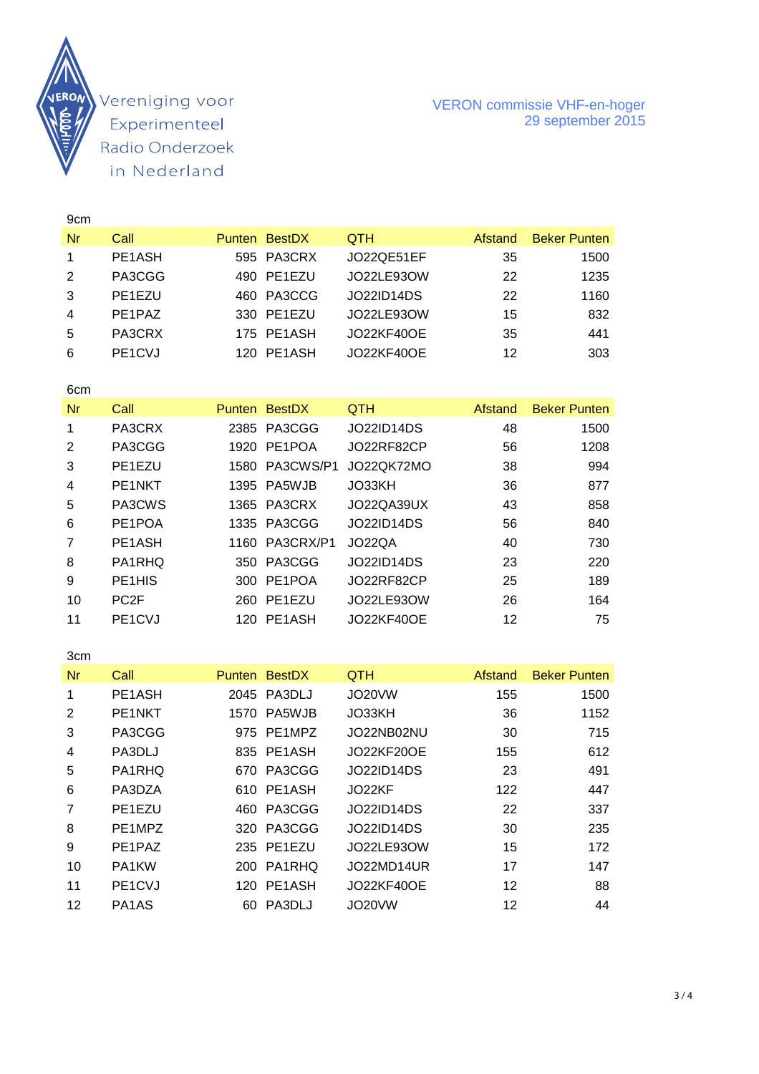

#### VERON commissie VHF-en-hoger 29 september 2015

| 9 <sub>cm</sub> |                                 |      |               |                   |         |                                       |
|-----------------|---------------------------------|------|---------------|-------------------|---------|---------------------------------------|
| Nr              | Call                            |      | Punten BestDX | QTH               | Afstand | <b>Beker Punten</b>                   |
| 1               | PE1ASH                          |      | 595 PA3CRX    | JO22QE51EF        | 35      | 1500                                  |
| $\overline{2}$  | PA3CGG                          | 490  | PE1EZU        | JO22LE93OW        | 22      | 1235                                  |
| 3               | PE1EZU                          | 460  | PA3CCG        | <b>JO22ID14DS</b> | 22      | 1160                                  |
| 4               | PE1PAZ                          | 330  | PE1EZU        | JO22LE93OW        | 15      | 832                                   |
| 5               | PA3CRX                          | 175  | PE1ASH        | <b>JO22KF40OE</b> | 35      | 441                                   |
| 6               | PE1CVJ                          |      | 120 PE1ASH    | <b>JO22KF40OE</b> | 12      | 303                                   |
|                 |                                 |      |               |                   |         |                                       |
| 6cm             |                                 |      |               |                   |         |                                       |
| Nr              | Call                            |      | Punten BestDX | <b>QTH</b>        | Afstand | <b>Beker Punten</b>                   |
| 1               | PA3CRX                          | 2385 | PA3CGG        | <b>JO22ID14DS</b> | 48      | 1500                                  |
| $\overline{2}$  | PA3CGG                          |      | 1920 PE1POA   | JO22RF82CP        | 56      | 1208                                  |
| 3               | PE1EZU                          | 1580 | PA3CWS/P1     | JO22QK72MO        | 38      | 994                                   |
| 4               | PE1NKT                          | 1395 | PA5WJB        | JO33KH            | 36      | 877                                   |
| 5               | PA3CWS                          | 1365 | PA3CRX        | JO22QA39UX        | 43      | 858                                   |
| 6               | PE1POA                          | 1335 | PA3CGG        | <b>JO22ID14DS</b> | 56      | 840                                   |
| $\overline{7}$  | PE1ASH                          | 1160 | PA3CRX/P1     | JO22QA            | 40      | 730                                   |
| 8               | PA1RHQ                          | 350  | PA3CGG        | <b>JO22ID14DS</b> | 23      | 220                                   |
| 9               | PE <sub>1</sub> H <sub>IS</sub> |      | 300 PE1POA    | JO22RF82CP        | 25      | 189                                   |
| 10              | PC <sub>2F</sub>                | 260  | PE1EZU        | JO22LE93OW        | 26      | 164                                   |
| 11              | PE1CVJ                          |      | 120 PE1ASH    | <b>JO22KF40OE</b> | 12      | 75                                    |
|                 |                                 |      |               |                   |         |                                       |
| 3cm             |                                 |      |               |                   |         |                                       |
| Nr              | Call                            |      | Punten BestDX | QTH               | Afstand | <b>Beker Punten</b>                   |
| 1               | PE1ASH                          |      | 2045 PA3DLJ   | JO20VW            | 155     | 1500                                  |
| ⌒               | <b>DEANU/T</b>                  |      | $ATZO$ DACMID | 1000111           | $\sim$  | $\lambda$ $\lambda$ $\Gamma$ $\Omega$ |

| <b>NF</b>      | uall                             | Punten BestDX | QIH               | Afstand | Beker Punten |
|----------------|----------------------------------|---------------|-------------------|---------|--------------|
| -1             | PE1ASH                           | 2045 PA3DLJ   | JO20VW            | 155     | 1500         |
| 2              | PE1NKT                           | 1570 PA5WJB   | JO33KH            | 36      | 1152         |
| 3              | PA3CGG                           | 975 PE1MPZ    | JO22NB02NU        | 30      | 715          |
| $\overline{4}$ | PA3DLJ                           | 835 PE1ASH    | <b>JO22KF20OE</b> | 155     | 612          |
| 5              | PA1RHQ                           | 670 PA3CGG    | <b>JO22ID14DS</b> | 23      | 491          |
| 6              | PA3DZA                           | 610 PE1ASH    | JO22KF            | 122     | 447          |
| 7              | PE1EZU                           | 460 PA3CGG    | <b>JO22ID14DS</b> | 22      | 337          |
| 8              | PE1MPZ                           | 320 PA3CGG    | <b>JO22ID14DS</b> | 30      | 235          |
| 9              | PE1PAZ                           | 235 PE1EZU    | JO22LE93OW        | 15      | 172          |
| 10             | PA1KW                            | 200 PA1RHQ    | JO22MD14UR        | 17      | 147          |
| 11             | PE <sub>1</sub> C <sub>V</sub> J | 120 PE1ASH    | <b>JO22KF40OE</b> | 12      | 88           |
| 12             | PA1AS                            | 60 PA3DLJ     | JO20VW            | 12      | 44           |